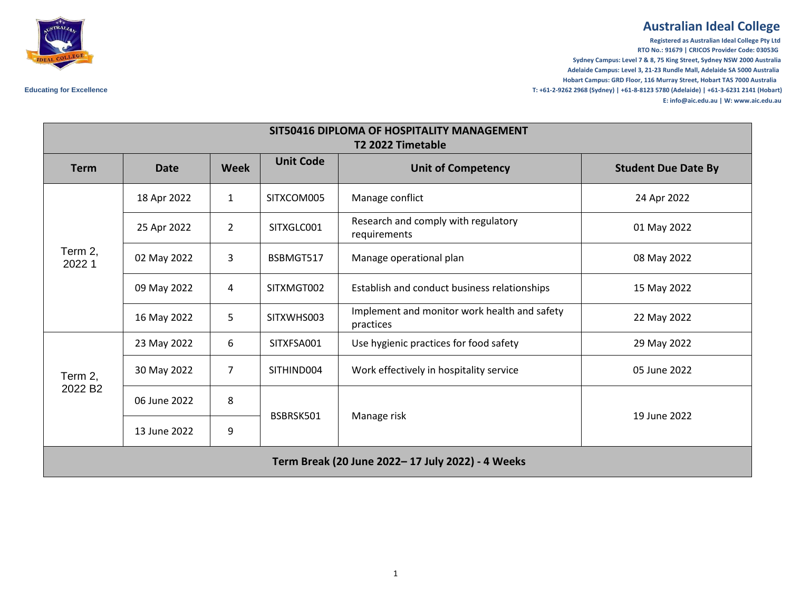## **Australian Ideal College**

**Registered as Australian Ideal College Pty Ltd RTO No.: 91679 | CRICOS Provider Code: 03053G Sydney Campus: Level 7 & 8, 75 King Street, Sydney NSW 2000 Australia Adelaide Campus: Level 3, 21-23 Rundle Mall, Adelaide SA 5000 Australia Hobart Campus: GRD Floor, 116 Murray Street, Hobart TAS 7000 Australia Educating for Excellence T: +61-2-9262 2968 (Sydney) | +61-8-8123 5780 (Adelaide) | +61-3-6231 2141 (Hobart) E: info@aic.edu.au | W: www.aic.edu.au**



| SIT50416 DIPLOMA OF HOSPITALITY MANAGEMENT<br>T2 2022 Timetable |              |                |                  |                                                           |                            |  |  |  |  |
|-----------------------------------------------------------------|--------------|----------------|------------------|-----------------------------------------------------------|----------------------------|--|--|--|--|
| <b>Term</b>                                                     | <b>Date</b>  | <b>Week</b>    | <b>Unit Code</b> | <b>Unit of Competency</b>                                 | <b>Student Due Date By</b> |  |  |  |  |
| Term 2,<br>2022 1                                               | 18 Apr 2022  | $\mathbf{1}$   | SITXCOM005       | Manage conflict                                           | 24 Apr 2022                |  |  |  |  |
|                                                                 | 25 Apr 2022  | $\overline{2}$ | SITXGLC001       | Research and comply with regulatory<br>requirements       | 01 May 2022                |  |  |  |  |
|                                                                 | 02 May 2022  | 3              | BSBMGT517        | Manage operational plan                                   | 08 May 2022                |  |  |  |  |
|                                                                 | 09 May 2022  | 4              | SITXMGT002       | Establish and conduct business relationships              | 15 May 2022                |  |  |  |  |
|                                                                 | 16 May 2022  | 5              | SITXWHS003       | Implement and monitor work health and safety<br>practices | 22 May 2022                |  |  |  |  |
| Term 2,<br>2022 B <sub>2</sub>                                  | 23 May 2022  | 6              | SITXFSA001       | Use hygienic practices for food safety                    | 29 May 2022                |  |  |  |  |
|                                                                 | 30 May 2022  | $\overline{7}$ | SITHIND004       | Work effectively in hospitality service                   | 05 June 2022               |  |  |  |  |
|                                                                 | 06 June 2022 | 8              | BSBRSK501        | Manage risk                                               | 19 June 2022               |  |  |  |  |
|                                                                 | 13 June 2022 | 9              |                  |                                                           |                            |  |  |  |  |
| Term Break (20 June 2022-17 July 2022) - 4 Weeks                |              |                |                  |                                                           |                            |  |  |  |  |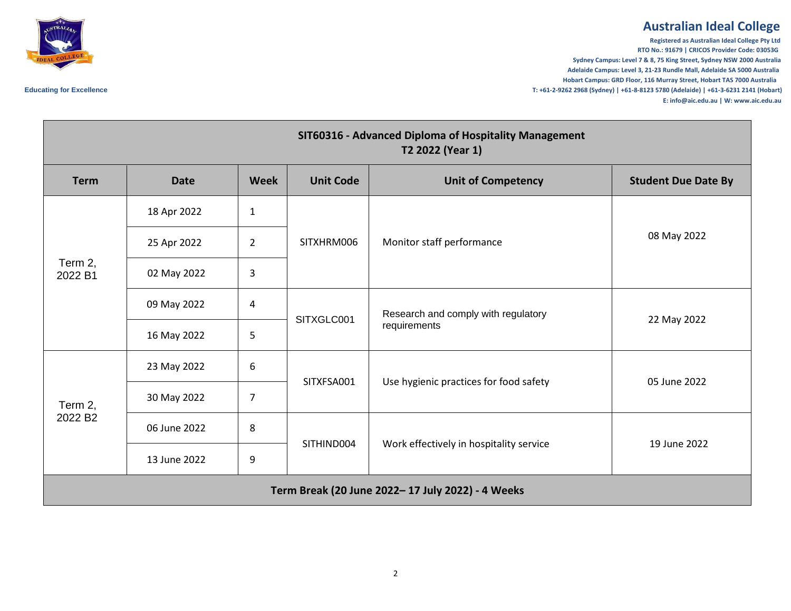## **Australian Ideal College**

**Registered as Australian Ideal College Pty Ltd RTO No.: 91679 | CRICOS Provider Code: 03053G Sydney Campus: Level 7 & 8, 75 King Street, Sydney NSW 2000 Australia Adelaide Campus: Level 3, 21-23 Rundle Mall, Adelaide SA 5000 Australia Hobart Campus: GRD Floor, 116 Murray Street, Hobart TAS 7000 Australia Educating for Excellence T: +61-2-9262 2968 (Sydney) | +61-8-8123 5780 (Adelaide) | +61-3-6231 2141 (Hobart) E: info@aic.edu.au | W: www.aic.edu.au**



| SIT60316 - Advanced Diploma of Hospitality Management<br>T2 2022 (Year 1) |              |                |                  |                                                     |                            |  |  |  |
|---------------------------------------------------------------------------|--------------|----------------|------------------|-----------------------------------------------------|----------------------------|--|--|--|
| <b>Term</b>                                                               | <b>Date</b>  | <b>Week</b>    | <b>Unit Code</b> | <b>Unit of Competency</b>                           | <b>Student Due Date By</b> |  |  |  |
| Term 2,<br>2022 B1                                                        | 18 Apr 2022  | $\mathbf{1}$   | SITXHRM006       | Monitor staff performance                           | 08 May 2022                |  |  |  |
|                                                                           | 25 Apr 2022  | $\overline{2}$ |                  |                                                     |                            |  |  |  |
|                                                                           | 02 May 2022  | 3              |                  |                                                     |                            |  |  |  |
|                                                                           | 09 May 2022  | 4              |                  | Research and comply with regulatory<br>requirements | 22 May 2022                |  |  |  |
|                                                                           | 16 May 2022  | 5              | SITXGLC001       |                                                     |                            |  |  |  |
| Term 2,<br>2022 B <sub>2</sub>                                            | 23 May 2022  | 6              | SITXFSA001       | Use hygienic practices for food safety              | 05 June 2022               |  |  |  |
|                                                                           | 30 May 2022  | 7              |                  |                                                     |                            |  |  |  |
|                                                                           | 06 June 2022 | 8              |                  | Work effectively in hospitality service             | 19 June 2022               |  |  |  |
|                                                                           | 13 June 2022 | 9              | SITHIND004       |                                                     |                            |  |  |  |
| Term Break (20 June 2022-17 July 2022) - 4 Weeks                          |              |                |                  |                                                     |                            |  |  |  |